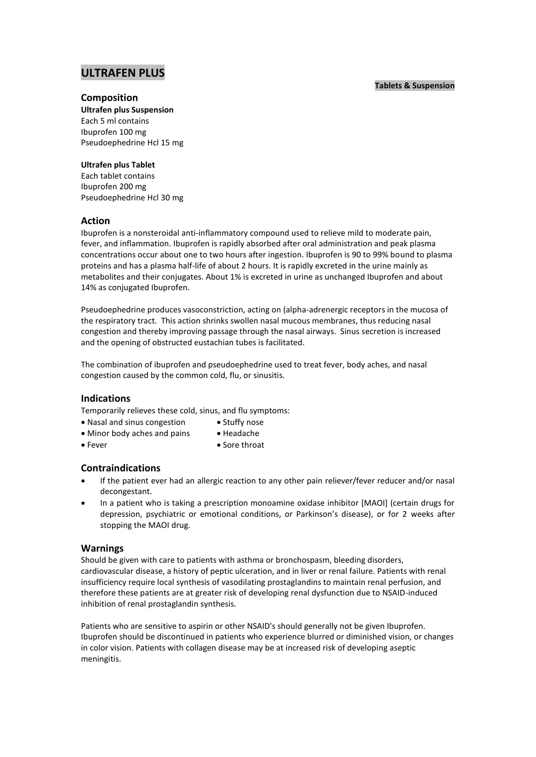# **ULTRAFEN PLUS**

## **Composition**

**Ultrafen plus Suspension** Each 5 ml contains Ibuprofen 100 mg Pseudoephedrine Hcl 15 mg

## **Ultrafen plus Tablet**

Each tablet contains Ibuprofen 200 mg Pseudoephedrine Hcl 30 mg

## **Action**

Ibuprofen is a nonsteroidal anti-inflammatory compound used to relieve mild to moderate pain, fever, and inflammation. Ibuprofen is rapidly absorbed after oral administration and peak plasma concentrations occur about one to two hours after ingestion. Ibuprofen is 90 to 99% bound to plasma proteins and has a plasma half-life of about 2 hours. It is rapidly excreted in the urine mainly as metabolites and their conjugates. About 1% is excreted in urine as unchanged Ibuprofen and about 14% as conjugated Ibuprofen.

Pseudoephedrine produces vasoconstriction, acting on (alpha-adrenergic receptors in the mucosa of the respiratory tract. This action shrinks swollen nasal mucous membranes, thus reducing nasal congestion and thereby improving passage through the nasal airways. Sinus secretion is increased and the opening of obstructed eustachian tubes is facilitated.

The combination of ibuprofen and pseudoephedrine used to treat fever, body aches, and nasal congestion caused by the common cold, flu, or sinusitis.

## **Indications**

Temporarily relieves these cold, sinus, and flu symptoms:

- Nasal and sinus congestion Stuffy nose
- Minor body aches and pains Headache
- Fever Sore throat

## **Contraindications**

- If the patient ever had an allergic reaction to any other pain reliever/fever reducer and/or nasal decongestant.
- In a patient who is taking a prescription monoamine oxidase inhibitor [MAOI] (certain drugs for depression, psychiatric or emotional conditions, or Parkinson's disease), or for 2 weeks after stopping the MAOI drug.

## **Warnings**

Should be given with care to patients with asthma or bronchospasm, bleeding disorders, cardiovascular disease, a history of peptic ulceration, and in liver or renal failure. Patients with renal insufficiency require local synthesis of vasodilating prostaglandins to maintain renal perfusion, and therefore these patients are at greater risk of developing renal dysfunction due to NSAID-induced inhibition of renal prostaglandin synthesis.

Patients who are sensitive to aspirin or other NSAID's should generally not be given Ibuprofen. Ibuprofen should be discontinued in patients who experience blurred or diminished vision, or changes in color vision. Patients with collagen disease may be at increased risk of developing aseptic meningitis.

## **Tablets & Suspension**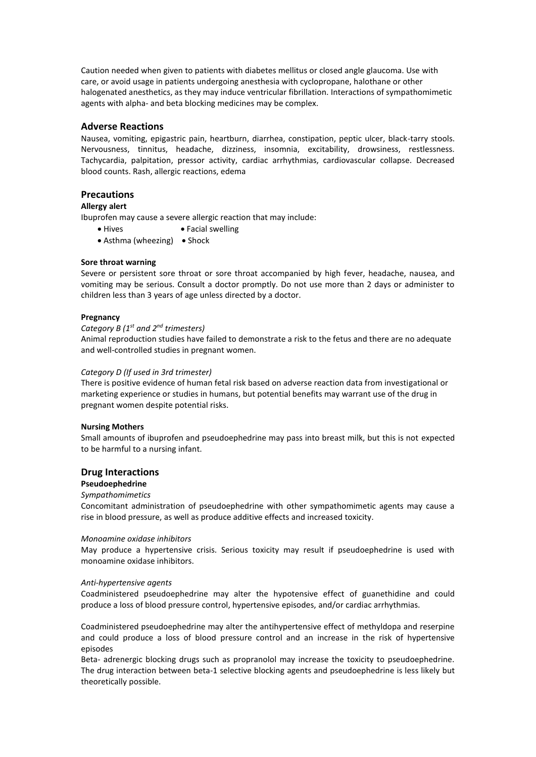Caution needed when given to patients with diabetes mellitus or closed angle glaucoma. Use with care, or avoid usage in patients undergoing anesthesia with cyclopropane, halothane or other halogenated anesthetics, as they may induce ventricular fibrillation. Interactions of sympathomimetic agents with alpha- and beta blocking medicines may be complex.

## **Adverse Reactions**

Nausea, vomiting, epigastric pain, heartburn, diarrhea, constipation, peptic ulcer, black-tarry stools. Nervousness, tinnitus, headache, dizziness, insomnia, excitability, drowsiness, restlessness. Tachycardia, palpitation, pressor activity, cardiac arrhythmias, cardiovascular collapse. Decreased blood counts. Rash, allergic reactions, edema

## **Precautions**

## **Allergy alert**

Ibuprofen may cause a severe allergic reaction that may include:

- Hives Facial swelling
- $\bullet$  Asthma (wheezing)  $\bullet$  Shock

### **Sore throat warning**

Severe or persistent sore throat or sore throat accompanied by high fever, headache, nausea, and vomiting may be serious. Consult a doctor promptly. Do not use more than 2 days or administer to children less than 3 years of age unless directed by a doctor.

#### **Pregnancy**

## *Category B (1 st and 2nd trimesters)*

Animal reproduction studies have failed to demonstrate a risk to the fetus and there are no adequate and well-controlled studies in pregnant women.

## *Category D (If used in 3rd trimester)*

There is positive evidence of human fetal risk based on adverse reaction data from investigational or marketing experience or studies in humans, but potential benefits may warrant use of the drug in pregnant women despite potential risks.

### **Nursing Mothers**

Small amounts of ibuprofen and pseudoephedrine may pass into breast milk, but this is not expected to be harmful to a nursing infant.

#### **Drug Interactions**

#### **Pseudoephedrine**

## *Sympathomimetics*

Concomitant administration of pseudoephedrine with other sympathomimetic agents may cause a rise in blood pressure, as well as produce additive effects and increased toxicity.

#### *Monoamine oxidase inhibitors*

May produce a hypertensive crisis. Serious toxicity may result if pseudoephedrine is used with monoamine oxidase inhibitors.

#### *Anti-hypertensive agents*

Coadministered pseudoephedrine may alter the hypotensive effect of guanethidine and could produce a loss of blood pressure control, hypertensive episodes, and/or cardiac arrhythmias.

Coadministered pseudoephedrine may alter the antihypertensive effect of methyldopa and reserpine and could produce a loss of blood pressure control and an increase in the risk of hypertensive episodes

Beta- adrenergic blocking drugs such as propranolol may increase the toxicity to pseudoephedrine. The drug interaction between beta-1 selective blocking agents and pseudoephedrine is less likely but theoretically possible.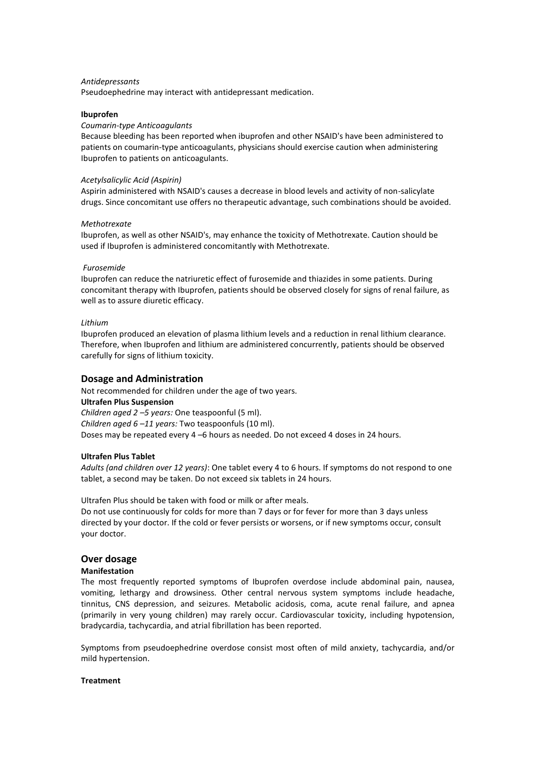## *Antidepressants*

Pseudoephedrine may interact with antidepressant medication.

### **Ibuprofen**

## *Coumarin-type Anticoagulants*

Because bleeding has been reported when ibuprofen and other NSAID's have been administered to patients on coumarin-type anticoagulants, physicians should exercise caution when administering Ibuprofen to patients on anticoagulants.

#### *Acetylsalicylic Acid (Aspirin)*

Aspirin administered with NSAID's causes a decrease in blood levels and activity of non-salicylate drugs. Since concomitant use offers no therapeutic advantage, such combinations should be avoided.

#### *Methotrexate*

Ibuprofen, as well as other NSAID's, may enhance the toxicity of Methotrexate. Caution should be used if Ibuprofen is administered concomitantly with Methotrexate.

#### *Furosemide*

Ibuprofen can reduce the natriuretic effect of furosemide and thiazides in some patients. During concomitant therapy with Ibuprofen, patients should be observed closely for signs of renal failure, as well as to assure diuretic efficacy.

#### *Lithium*

Ibuprofen produced an elevation of plasma lithium levels and a reduction in renal lithium clearance. Therefore, when Ibuprofen and lithium are administered concurrently, patients should be observed carefully for signs of lithium toxicity.

## **Dosage and Administration**

Not recommended for children under the age of two years. **Ultrafen Plus Suspension** *Children aged 2 –5 years:* One teaspoonful (5 ml). *Children aged 6 –11 years:* Two teaspoonfuls (10 ml). Doses may be repeated every 4 –6 hours as needed. Do not exceed 4 doses in 24 hours.

#### **Ultrafen Plus Tablet**

*Adults (and children over 12 years)*: One tablet every 4 to 6 hours. If symptoms do not respond to one tablet, a second may be taken. Do not exceed six tablets in 24 hours.

Ultrafen Plus should be taken with food or milk or after meals. Do not use continuously for colds for more than 7 days or for fever for more than 3 days unless directed by your doctor. If the cold or fever persists or worsens, or if new symptoms occur, consult your doctor.

## **Over dosage**

#### **Manifestation**

The most frequently reported symptoms of Ibuprofen overdose include abdominal pain, nausea, vomiting, lethargy and drowsiness. Other central nervous system symptoms include headache, tinnitus, CNS depression, and seizures. Metabolic acidosis, coma, acute renal failure, and apnea (primarily in very young children) may rarely occur. Cardiovascular toxicity, including hypotension, bradycardia, tachycardia, and atrial fibrillation has been reported.

Symptoms from pseudoephedrine overdose consist most often of mild anxiety, tachycardia, and/or mild hypertension.

#### **Treatment**